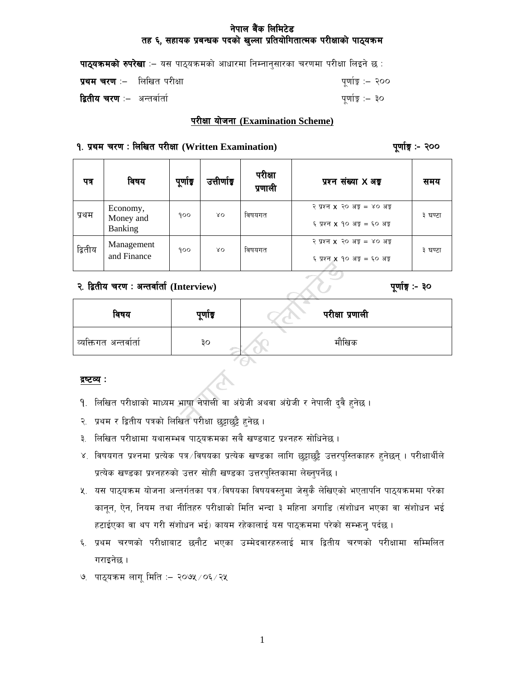# नेपाल बैंक लिमिटेड तह ६, सहायक प्रबन्धक पदको खुल्ला प्रतियोगितात्मक परीक्षाको पाठ्यक्रम

| <b>पाठ्यक्रमको रुपरेखा</b> :– यस पाठ्यक्रमको आधारमा निम्नानुसारका चरणमा परीक्षा लिइने छ : |                  |
|-------------------------------------------------------------------------------------------|------------------|
| <b>प्रथम चरण</b> :–   लिखित परीक्षा                                                       | पूर्णाङ्क :– २०० |
| <b>द्वितीय चरण</b> :–  अन्तर्वार्ता                                                       | पूर्णाङ्क :– ३०  |

#### परीक्षा योजना (Examination Scheme)

#### १. प्रथम चरण: लिखित परीक्षा (Written Examination)

पूर्णाङ्ग :- २००

| पत्र    | विषय                             | पूर्णाङ्क | उत्तीर्णाङ्क | परीक्षा<br>प्रणाली | प्रश्न संख्या X अड्ड                                                  | समय     |
|---------|----------------------------------|-----------|--------------|--------------------|-----------------------------------------------------------------------|---------|
| प्रथम   | Economy,<br>Money and<br>Banking | 900       | $80^{\circ}$ | विषयगत             | २ प्रश्न $x$ २० अङ्ग = ४० अङ्ग<br>६ प्रश्न <b>x</b> १० अङ्ग = ६० अङ्ग | ३ घण्टा |
| द्वितीय | Management<br>and Finance        | 900       | $80^{\circ}$ | विषयगत             | २ प्रश्न $x$ २० अङ्ग = ४० अङ्ग<br>६ प्रश्न <b>x</b> १० अङ्ग = ६० अङ्ग | ३ घण्टा |

# २. द्वितीय चरण: अन्तर्वार्ता (Interview)

# पूर्णाङ्ग :- ३०

| विषय                   | पूर्णाङ्क | $\sim$<br>परीक्षा प्रणाली |  |
|------------------------|-----------|---------------------------|--|
| व्यक्तिगत अन्तर्वार्ता | ąо        | मौखिक                     |  |
|                        |           |                           |  |

#### द्रष्टव्य :

- १. लिखित परीक्षाको माध्यम भाषा नेपाली वा अंग्रेजी अथवा अंग्रेजी र नेपाली दुवै हुनेछ ।
- २. प्रथम र द्वितीय पत्रको लिखित परीक्षा छुट्टाछुट्टै हुनेछ ।
- ३. लिखित परीक्षामा यथासम्भव पाठ्यक्रमका सबै खण्डबाट प्रश्नहरु सोधिनेछ ।
- ४. विषयगत प्रश्नमा प्रत्येक पत्र विषयका प्रत्येक खण्डका लागि छुट्टाछुट्टै उत्तरपुस्तिकाहरु हुनेछन् । परीक्षार्थीले प्रत्येक खण्डका प्रश्नहरुको उत्तर सोही खण्डका उत्तरपुस्तिकामा लेख्नुपर्नेछ ।
- ५. यस पाठ्यक्रम योजना अन्तर्गतका पत्र /विषयका विषयवस्तुमा जेसुकै लेखिएको भएतापनि पाठ्यक्रममा परेका कानून, ऐन, नियम तथा नीतिहरु परीक्षाको मिति भन्दा ३ महिना अगाडि (संशोधन भएका वा संशोधन भई हटाईएका वा थप गरी संशोधन भई) कायम रहेकालाई यस पाठ्कममा परेको सम्भन् पर्दछ ।
- ६. प्रथम चरणको परीक्षाबाट छनौट भएका उम्मेदवारहरुलाई मात्र द्वितीय चरणको परीक्षामा सम्मिलित गराइनेछ।
- ७. पाठ्यक्रम लागू मिति :- २०७५ / ०६ / २५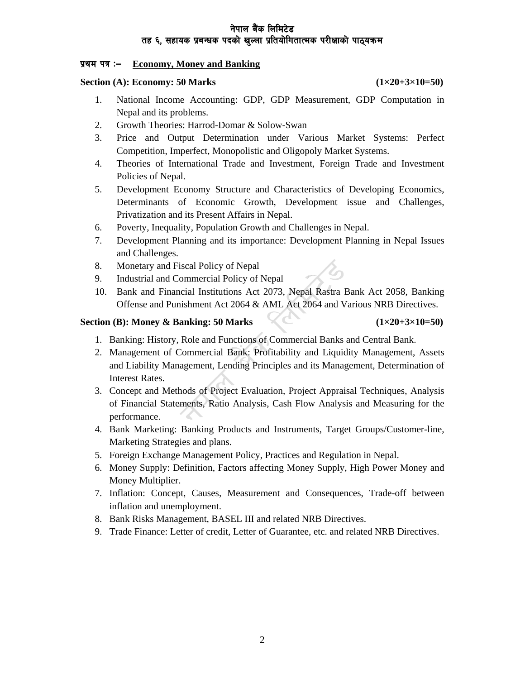## तेपाल बैंक लिमिटेड तह ६, सहायक प्रबन्धक पदको खल्ला प्रतियोगितात्मक परीक्षाको पाठ्यक्रम

### **k|yd kq M— Economy, Money and Banking**

### **Section (A): Economy: 50 Marks (1×20+3×10=50)**

- 1. National Income Accounting: GDP, GDP Measurement, GDP Computation in Nepal and its problems.
- 2. Growth Theories: Harrod-Domar & Solow-Swan
- 3. Price and Output Determination under Various Market Systems: Perfect Competition, Imperfect, Monopolistic and Oligopoly Market Systems.
- 4. Theories of International Trade and Investment, Foreign Trade and Investment Policies of Nepal.
- 5. Development Economy Structure and Characteristics of Developing Economics, Determinants of Economic Growth, Development issue and Challenges, Privatization and its Present Affairs in Nepal.
- 6. Poverty, Inequality, Population Growth and Challenges in Nepal.
- 7. Development Planning and its importance: Development Planning in Nepal Issues and Challenges.
- 8. Monetary and Fiscal Policy of Nepal
- 9. Industrial and Commercial Policy of Nepal
- 10. Bank and Financial Institutions Act 2073, Nepal Rastra Bank Act 2058, Banking Offense and Punishment Act 2064 & AML Act 2064 and Various NRB Directives.

#### **Section (B): Money & Banking: 50 Marks** (1×20+3×10=50)

- 1. Banking: History, Role and Functions of Commercial Banks and Central Bank.
- 2. Management of Commercial Bank: Profitability and Liquidity Management, Assets and Liability Management, Lending Principles and its Management, Determination of Interest Rates.
- 3. Concept and Methods of Project Evaluation, Project Appraisal Techniques, Analysis of Financial Statements, Ratio Analysis, Cash Flow Analysis and Measuring for the performance.
- 4. Bank Marketing: Banking Products and Instruments, Target Groups/Customer-line, Marketing Strategies and plans.
- 5. Foreign Exchange Management Policy, Practices and Regulation in Nepal.
- 6. Money Supply: Definition, Factors affecting Money Supply, High Power Money and Money Multiplier.
- 7. Inflation: Concept, Causes, Measurement and Consequences, Trade-off between inflation and unemployment.
- 8. Bank Risks Management, BASEL III and related NRB Directives.
- 9. Trade Finance: Letter of credit, Letter of Guarantee, etc. and related NRB Directives.